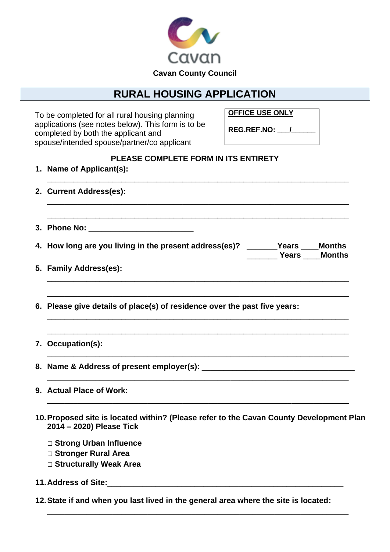

## **RURAL HOUSING APPLICATION**

To be completed for all rural housing planning applications (see notes below). This form is to be completed by both the applicant and spouse/intended spouse/partner/co applicant

**OFFICE USE ONLY**

**REG.REF.NO: \_\_\_/\_\_\_\_\_\_**

## **PLEASE COMPLETE FORM IN ITS ENTIRETY**

|  | 1. Name of Applicant(s):                                                                                               |
|--|------------------------------------------------------------------------------------------------------------------------|
|  | 2. Current Address(es):                                                                                                |
|  |                                                                                                                        |
|  | 4. How long are you living in the present address(es)? _______Years ____Months<br><b>Example 21 Years _____ Months</b> |
|  | 5. Family Address(es):                                                                                                 |
|  | 6. Please give details of place(s) of residence over the past five years:                                              |
|  | 7. Occupation(s):                                                                                                      |
|  |                                                                                                                        |
|  | 9. Actual Place of Work:                                                                                               |
|  | 10. Proposed site is located within? (Please refer to the Cavan County Development Plan<br>2014 - 2020) Please Tick    |
|  | □ Strong Urban Influence                                                                                               |
|  | □ Stronger Rural Area                                                                                                  |
|  | □ Structurally Weak Area                                                                                               |
|  |                                                                                                                        |

**12.State if and when you last lived in the general area where the site is located:**

\_\_\_\_\_\_\_\_\_\_\_\_\_\_\_\_\_\_\_\_\_\_\_\_\_\_\_\_\_\_\_\_\_\_\_\_\_\_\_\_\_\_\_\_\_\_\_\_\_\_\_\_\_\_\_\_\_\_\_\_\_\_\_\_\_\_\_\_\_